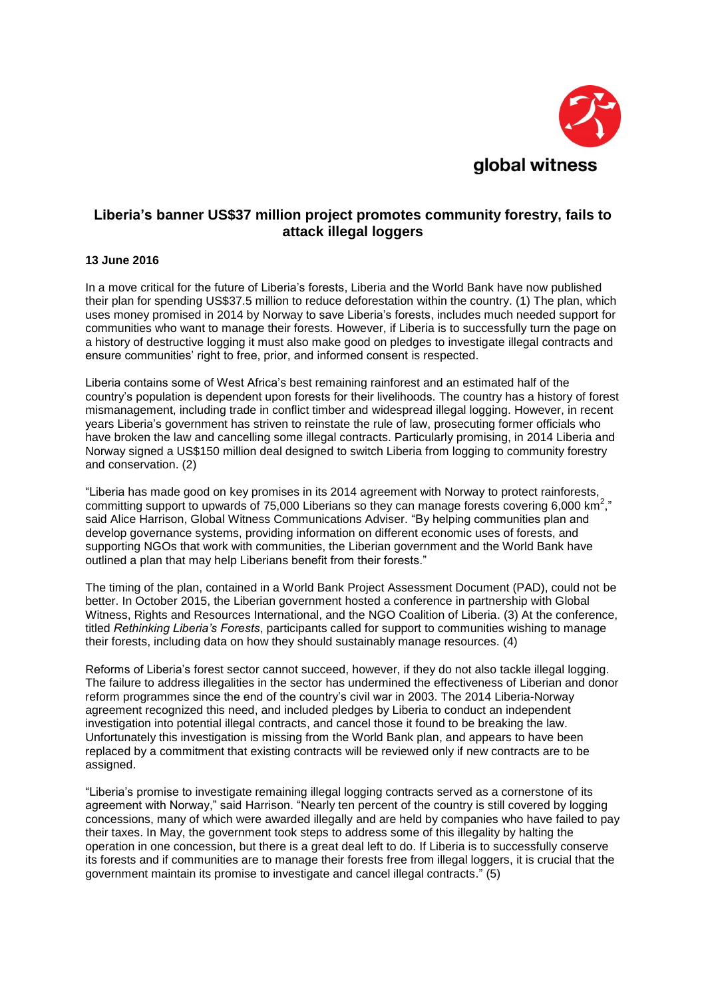

## **Liberia's banner US\$37 million project promotes community forestry, fails to attack illegal loggers**

## **13 June 2016**

In a move critical for the future of Liberia's forests, Liberia and the World Bank have now published their plan for spending US\$37.5 million to reduce deforestation within the country. (1) The plan, which uses money promised in 2014 by Norway to save Liberia's forests, includes much needed support for communities who want to manage their forests. However, if Liberia is to successfully turn the page on a history of destructive logging it must also make good on pledges to investigate illegal contracts and ensure communities' right to free, prior, and informed consent is respected.

Liberia contains some of West Africa's best remaining rainforest and an estimated half of the country's population is dependent upon forests for their livelihoods. The country has a history of forest mismanagement, including trade in conflict timber and widespread illegal logging. However, in recent years Liberia's government has striven to reinstate the rule of law, prosecuting former officials who have broken the law and cancelling some illegal contracts. Particularly promising, in 2014 Liberia and Norway signed a US\$150 million deal designed to switch Liberia from logging to community forestry and conservation. (2)

"Liberia has made good on key promises in its 2014 agreement with Norway to protect rainforests, committing support to upwards of 75,000 Liberians so they can manage forests covering 6,000 km<sup>2</sup> ," said Alice Harrison, Global Witness Communications Adviser. "By helping communities plan and develop governance systems, providing information on different economic uses of forests, and supporting NGOs that work with communities, the Liberian government and the World Bank have outlined a plan that may help Liberians benefit from their forests."

The timing of the plan, contained in a World Bank Project Assessment Document (PAD), could not be better. In October 2015, the Liberian government hosted a conference in partnership with Global Witness, Rights and Resources International, and the NGO Coalition of Liberia. (3) At the conference, titled *Rethinking Liberia's Forests*, participants called for support to communities wishing to manage their forests, including data on how they should sustainably manage resources. (4)

Reforms of Liberia's forest sector cannot succeed, however, if they do not also tackle illegal logging. The failure to address illegalities in the sector has undermined the effectiveness of Liberian and donor reform programmes since the end of the country's civil war in 2003. The 2014 Liberia-Norway agreement recognized this need, and included pledges by Liberia to conduct an independent investigation into potential illegal contracts, and cancel those it found to be breaking the law. Unfortunately this investigation is missing from the World Bank plan, and appears to have been replaced by a commitment that existing contracts will be reviewed only if new contracts are to be assigned.

"Liberia's promise to investigate remaining illegal logging contracts served as a cornerstone of its agreement with Norway," said Harrison. "Nearly ten percent of the country is still covered by logging concessions, many of which were awarded illegally and are held by companies who have failed to pay their taxes. In May, the government took steps to address some of this illegality by halting the operation in one concession, but there is a great deal left to do. If Liberia is to successfully conserve its forests and if communities are to manage their forests free from illegal loggers, it is crucial that the government maintain its promise to investigate and cancel illegal contracts." (5)